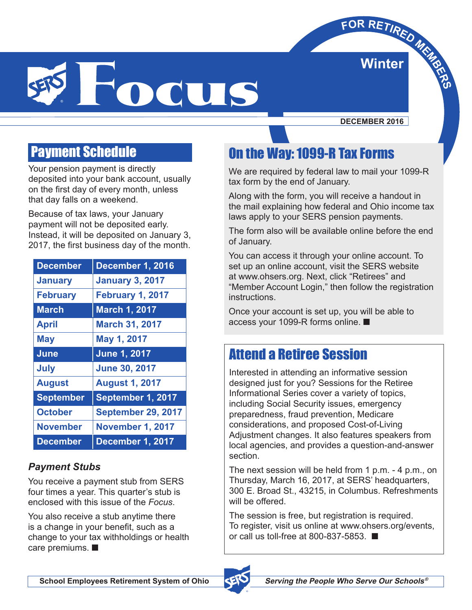**Winter**  $\times$ **FOR RETIRED MERRO B** 



**DECEMBER 2016**

## Payment Schedule

Your pension payment is directly deposited into your bank account, usually on the first day of every month, unless that day falls on a weekend.

Because of tax laws, your January payment will not be deposited early. Instead, it will be deposited on January 3, 2017, the first business day of the month.

| <b>December</b>  | December 1, 2016          |
|------------------|---------------------------|
| <b>January</b>   | <b>January 3, 2017</b>    |
| <b>February</b>  | <b>February 1, 2017</b>   |
| <b>March</b>     | <b>March 1, 2017</b>      |
| <b>April</b>     | <b>March 31, 2017</b>     |
| <b>May</b>       | May 1, 2017               |
| June             | <b>June 1, 2017</b>       |
| <b>July</b>      | <b>June 30, 2017</b>      |
| <b>August</b>    | <b>August 1, 2017</b>     |
| <b>September</b> | September 1, 2017         |
| <b>October</b>   | <b>September 29, 2017</b> |
| <b>November</b>  | November 1, 2017          |
| <b>December</b>  | December 1, 2017          |

#### *Payment Stubs*

You receive a payment stub from SERS four times a year. This quarter's stub is enclosed with this issue of the *Focus*.

You also receive a stub anytime there is a change in your benefit, such as a change to your tax withholdings or health care premiums. ■

## On the Way: 1099-R Tax Forms

We are required by federal law to mail your 1099-R tax form by the end of January.

Along with the form, you will receive a handout in the mail explaining how federal and Ohio income tax laws apply to your SERS pension payments.

The form also will be available online before the end of January.

You can access it through your online account. To set up an online account, visit the SERS website at www.ohsers.org. Next, click "Retirees" and "Member Account Login," then follow the registration instructions.

Once your account is set up, you will be able to access your 1099-R forms online. ■

## Attend a Retiree Session

Interested in attending an informative session designed just for you? Sessions for the Retiree Informational Series cover a variety of topics, including Social Security issues, emergency preparedness, fraud prevention, Medicare considerations, and proposed Cost-of-Living Adjustment changes. It also features speakers from local agencies, and provides a question-and-answer section.

The next session will be held from 1 p.m. - 4 p.m., on Thursday, March 16, 2017, at SERS' headquarters, 300 E. Broad St., 43215, in Columbus. Refreshments will be offered.

The session is free, but registration is required. To register, visit us online at www.ohsers.org/events, or call us toll-free at 800-837-5853. ■

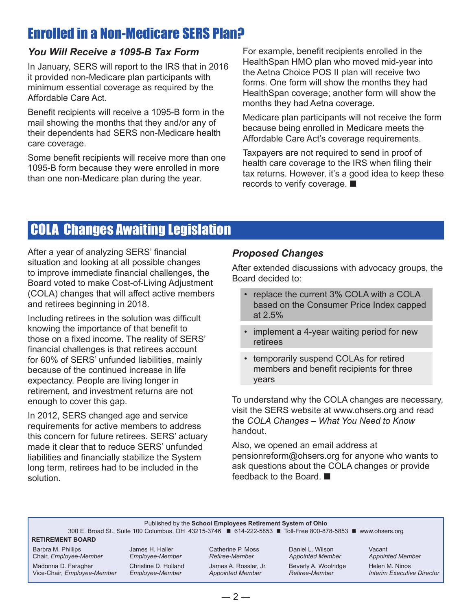## Enrolled in a Non-Medicare SERS Plan?

#### *You Will Receive a 1095-B Tax Form*

In January, SERS will report to the IRS that in 2016 it provided non-Medicare plan participants with minimum essential coverage as required by the Affordable Care Act.

Benefit recipients will receive a 1095-B form in the mail showing the months that they and/or any of their dependents had SERS non-Medicare health care coverage.

Some benefit recipients will receive more than one 1095-B form because they were enrolled in more than one non-Medicare plan during the year.

For example, benefit recipients enrolled in the HealthSpan HMO plan who moved mid-year into the Aetna Choice POS II plan will receive two forms. One form will show the months they had HealthSpan coverage; another form will show the months they had Aetna coverage.

Medicare plan participants will not receive the form because being enrolled in Medicare meets the Affordable Care Act's coverage requirements.

Taxpayers are not required to send in proof of health care coverage to the IRS when filing their tax returns. However, it's a good idea to keep these records to verify coverage. ■

## COLA Changes Awaiting Legislation

After a year of analyzing SERS' financial situation and looking at all possible changes to improve immediate financial challenges, the Board voted to make Cost-of-Living Adjustment (COLA) changes that will affect active members and retirees beginning in 2018.

Including retirees in the solution was difficult knowing the importance of that benefit to those on a fixed income. The reality of SERS' financial challenges is that retirees account for 60% of SERS' unfunded liabilities, mainly because of the continued increase in life expectancy. People are living longer in retirement, and investment returns are not enough to cover this gap.

In 2012, SERS changed age and service requirements for active members to address this concern for future retirees. SERS' actuary made it clear that to reduce SERS' unfunded liabilities and financially stabilize the System long term, retirees had to be included in the solution.

#### *Proposed Changes*

After extended discussions with advocacy groups, the Board decided to:

- replace the current 3% COLA with a COLA based on the Consumer Price Index capped at 2.5%
- implement a 4-year waiting period for new retirees
- temporarily suspend COLAs for retired members and benefit recipients for three years

To understand why the COLA changes are necessary, visit the SERS website at www.ohsers.org and read the *COLA Changes – What You Need to Know* handout.

Also, we opened an email address at pensionreform@ohsers.org for anyone who wants to ask questions about the COLA changes or provide feedback to the Board

#### Published by the **School Employees Retirement System of Ohio**

300 E. Broad St., Suite 100 Columbus, OH 43215-3746 ■ 614-222-5853 ■ Toll-Free 800-878-5853 ■ www.ohsers.org

#### **RETIREMENT BOARD**

Barbra M. Phillips Chair, *Employee-Member*

Madonna D. Faragher Vice-Chair, *Employee-Member* James H. Haller *Employee-Member* Christine D. Holland *Employee-Member*

Catherine P. Moss *Retiree-Member*

James A. Rossler, Jr. *Appointed Member*

Daniel L. Wilson *Appointed Member* Beverly A. Woolridge *Retiree-Member*

Vacant *Appointed Member* Helen M. Ninos *Interim Executive Director*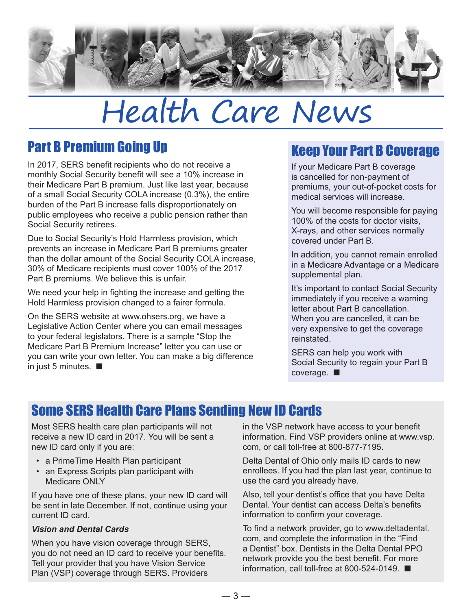

## Health Care News

## Part B Premium Going Up

In 2017, SERS benefit recipients who do not receive a monthly Social Security benefit will see a 10% increase in their Medicare Part B premium. Just like last year, because of a small Social Security COLA increase (0.3%), the entire burden of the Part B increase falls disproportionately on public employees who receive a public pension rather than Social Security retirees.

Due to Social Security's Hold Harmless provision, which prevents an increase in Medicare Part B premiums greater than the dollar amount of the Social Security COLA increase, 30% of Medicare recipients must cover 100% of the 2017 Part B premiums. We believe this is unfair.

We need your help in fighting the increase and getting the Hold Harmless provision changed to a fairer formula.

On the SERS website at www.ohsers.org, we have a Legislative Action Center where you can email messages to your federal legislators. There is a sample "Stop the Medicare Part B Premium Increase" letter you can use or you can write your own letter. You can make a big difference in just 5 minutes. ■

## Keep Your Part B Coverage

If your Medicare Part B coverage is cancelled for non-payment of premiums, your out-of-pocket costs for medical services will increase.

You will become responsible for paying 100% of the costs for doctor visits, X-rays, and other services normally covered under Part B.

In addition, you cannot remain enrolled in a Medicare Advantage or a Medicare supplemental plan.

It's important to contact Social Security immediately if you receive a warning letter about Part B cancellation. When you are cancelled, it can be very expensive to get the coverage reinstated.

SERS can help you work with Social Security to regain your Part B coverage. ■

## Some SERS Health Care Plans Sending New ID Cards

Most SERS health care plan participants will not receive a new ID card in 2017. You will be sent a new ID card only if you are:

- a PrimeTime Health Plan participant
- an Express Scripts plan participant with Medicare ONLY

If you have one of these plans, your new ID card will be sent in late December. If not, continue using your current ID card.

#### *Vision and Dental Cards*

When you have vision coverage through SERS, you do not need an ID card to receive your benefits. Tell your provider that you have Vision Service Plan (VSP) coverage through SERS. Providers

in the VSP network have access to your benefit information. Find VSP providers online at www.vsp. com, or call toll-free at 800-877-7195.

Delta Dental of Ohio only mails ID cards to new enrollees. If you had the plan last year, continue to use the card you already have.

Also, tell your dentist's office that you have Delta Dental. Your dentist can access Delta's benefits information to confirm your coverage.

To find a network provider, go to www.deltadental. com, and complete the information in the "Find a Dentist" box. Dentists in the Delta Dental PPO network provide you the best benefit. For more information, call toll-free at 800-524-0149. ■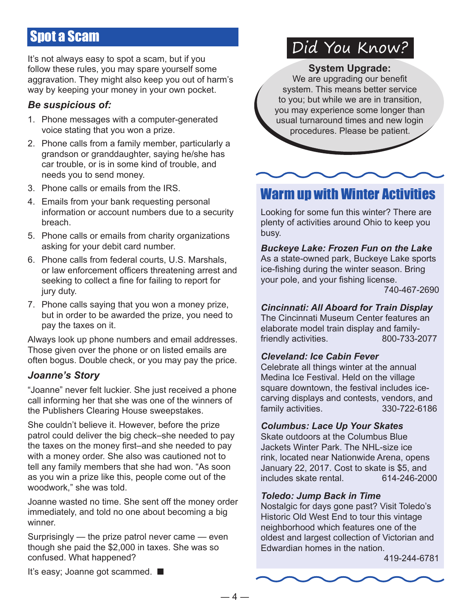## Spot a Scam

It's not always easy to spot a scam, but if you follow these rules, you may spare yourself some aggravation. They might also keep you out of harm's way by keeping your money in your own pocket.

#### *Be suspicious of:*

- 1. Phone messages with a computer-generated voice stating that you won a prize.
- 2. Phone calls from a family member, particularly a grandson or granddaughter, saying he/she has car trouble, or is in some kind of trouble, and needs you to send money.
- 3. Phone calls or emails from the IRS.
- 4. Emails from your bank requesting personal information or account numbers due to a security breach.
- 5. Phone calls or emails from charity organizations asking for your debit card number.
- 6. Phone calls from federal courts, U.S. Marshals, or law enforcement officers threatening arrest and seeking to collect a fine for failing to report for jury duty.
- 7. Phone calls saying that you won a money prize, but in order to be awarded the prize, you need to pay the taxes on it.

Always look up phone numbers and email addresses. Those given over the phone or on listed emails are often bogus. Double check, or you may pay the price.

#### *Joanne's Story*

"Joanne" never felt luckier. She just received a phone call informing her that she was one of the winners of the Publishers Clearing House sweepstakes.

She couldn't believe it. However, before the prize patrol could deliver the big check-she needed to pay the taxes on the money first–and she needed to pay with a money order. She also was cautioned not to tell any family members that she had won. "As soon as you win a prize like this, people come out of the woodwork," she was told.

Joanne wasted no time. She sent off the money order immediately, and told no one about becoming a big winner.

Surprisingly — the prize patrol never came — even though she paid the \$2,000 in taxes. She was so confused. What happened?

## Did You Know?

**System Upgrade:**

We are upgrading our benefit system. This means better service to you; but while we are in transition, you may experience some longer than usual turnaround times and new login procedures. Please be patient.

## Warm up with Winter Activities

Looking for some fun this winter? There are plenty of activities around Ohio to keep you busy.

*Buckeye Lake: Frozen Fun on the Lake* As a state-owned park, Buckeye Lake sports ice-fishing during the winter season. Bring your pole, and your fishing license.

740-467-2690

#### *Cincinnati: All Aboard for Train Display*

The Cincinnati Museum Center features an elaborate model train display and familyfriendly activities. 800-733-2077

#### *Cleveland: Ice Cabin Fever*

Celebrate all things winter at the annual Medina Ice Festival. Held on the village square downtown, the festival includes icecarving displays and contests, vendors, and family activities. 330-722-6186

#### *Columbus: Lace Up Your Skates*

Skate outdoors at the Columbus Blue Jackets Winter Park. The NHL-size ice rink, located near Nationwide Arena, opens January 22, 2017. Cost to skate is \$5, and includes skate rental. 614-246-2000

#### *Toledo: Jump Back in Time*

Nostalgic for days gone past? Visit Toledo's Historic Old West End to tour this vintage neighborhood which features one of the oldest and largest collection of Victorian and Edwardian homes in the nation.

419-244-6781

It's easy; Joanne got scammed. ■

 $-4-$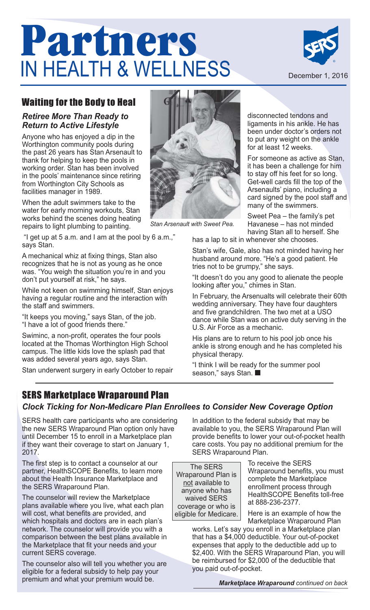# **Partners**  IN HEALTH & WELLNESS



## Waiting for the Body to Heal

#### *Retiree More Than Ready to Return to Active Lifestyle*

Anyone who has enjoyed a dip in the Worthington community pools during the past 26 years has Stan Arsenault to thank for helping to keep the pools in working order. Stan has been involved in the pools' maintenance since retiring from Worthington City Schools as facilities manager in 1989.

When the adult swimmers take to the water for early morning workouts, Stan works behind the scenes doing heating repairs to light plumbing to painting.

"I get up at 5 a.m. and I am at the pool by 6 a.m.," says Stan.

A mechanical whiz at fixing things, Stan also recognizes that he is not as young as he once was. "You weigh the situation you're in and you don't put yourself at risk," he says.

While not keen on swimming himself, Stan enjoys having a regular routine and the interaction with the staff and swimmers.

"It keeps you moving," says Stan, of the job. "I have a lot of good friends there."

Swiminc, a non-profit, operates the four pools located at the Thomas Worthington High School campus. The little kids love the splash pad that was added several years ago, says Stan.

Stan underwent surgery in early October to repair



*Stan Arsenault with Sweet Pea.*

disconnected tendons and ligaments in his ankle. He has been under doctor's orders not to put any weight on the ankle for at least 12 weeks.

For someone as active as Stan, it has been a challenge for him to stay off his feet for so long. Get-well cards fill the top of the Arsenaults' piano, including a card signed by the pool staff and many of the swimmers.

Sweet Pea – the family's pet Havanese – has not minded having Stan all to herself. She has a lap to sit in whenever she chooses.

Stan's wife, Gale, also has not minded having her husband around more. "He's a good patient. He tries not to be grumpy," she says.

"It doesn't do you any good to alienate the people looking after you," chimes in Stan.

In February, the Arsenualts will celebrate their 60th wedding anniversary. They have four daughters and five grandchildren. The two met at a USO dance while Stan was on active duty serving in the U.S. Air Force as a mechanic.

His plans are to return to his pool job once his ankle is strong enough and he has completed his physical therapy.

"I think I will be ready for the summer pool season," says Stan. ■

## SERS Marketplace Wraparound Plan

#### *Clock Ticking for Non-Medicare Plan Enrollees to Consider New Coverage Option*

SERS health care participants who are considering the new SERS Wraparound Plan option only have until December 15 to enroll in a Marketplace plan if they want their coverage to start on January 1, 2017.

The first step is to contact a counselor at our partner, HealthSCOPE Benefits, to learn more about the Health Insurance Marketplace and the SERS Wraparound Plan.

The counselor will review the Marketplace plans available where you live, what each plan will cost, what benefits are provided, and which hospitals and doctors are in each plan's network. The counselor will provide you with a comparison between the best plans available in the Marketplace that fit your needs and your current SERS coverage.

The counselor also will tell you whether you are eligible for a federal subsidy to help pay your premium and what your premium would be.

In addition to the federal subsidy that may be available to you, the SERS Wraparound Plan will provide benefits to lower your out-of-pocket health care costs. You pay no additional premium for the SERS Wraparound Plan.

The SERS Wraparound Plan is not available to anyone who has waived SERS coverage or who is eligible for Medicare. To receive the SERS Wraparound benefits, you must complete the Marketplace enrollment process through HealthSCOPE Benefits toll-free at 888-236-2377.

Here is an example of how the Marketplace Wraparound Plan

works. Let's say you enroll in a Marketplace plan that has a \$4,000 deductible. Your out-of-pocket expenses that apply to the deductible add up to \$2,400. With the SERS Wraparound Plan, you will be reimbursed for \$2,000 of the deductible that you paid out-of-pocket.